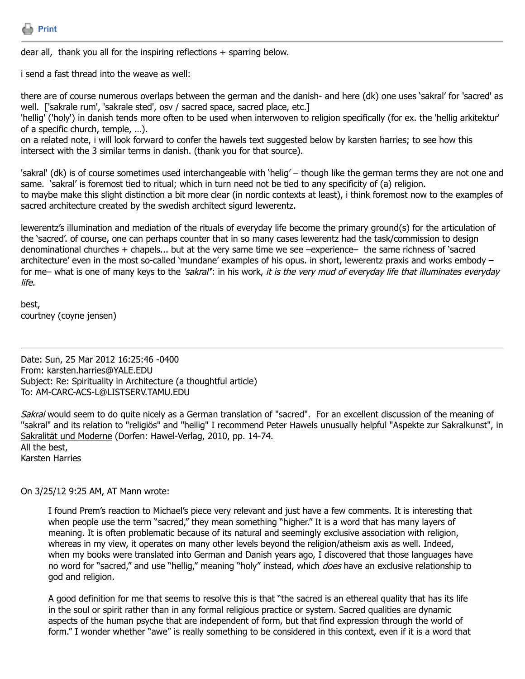

dear all, thank you all for the inspiring reflections + sparring below.

i send a fast thread into the weave as well:

there are of course numerous overlaps between the german and the danish- and here (dk) one uses 'sakral' for 'sacred' as well. ['sakrale rum', 'sakrale sted', osv / sacred space, sacred place, etc.]

'hellig' ('holy') in danish tends more often to be used when interwoven to religion specifically (for ex. the 'hellig arkitektur' of a specific church, temple, …).

on a related note, i will look forward to confer the hawels text suggested below by karsten harries; to see how this intersect with the 3 similar terms in danish. (thank you for that source).

'sakral' (dk) is of course sometimes used interchangeable with 'helig' – though like the german terms they are not one and same. 'sakral' is foremost tied to ritual; which in turn need not be tied to any specificity of (a) religion. to maybe make this slight distinction a bit more clear (in nordic contexts at least), i think foremost now to the examples of sacred architecture created by the swedish architect sigurd lewerentz.

lewerentz's illumination and mediation of the rituals of everyday life become the primary ground(s) for the articulation of the 'sacred'. of course, one can perhaps counter that in so many cases lewerentz had the task/commission to design denominational churches + chapels... but at the very same time we see –experience– the same richness of 'sacred architecture' even in the most so-called 'mundane' examples of his opus. in short, lewerentz praxis and works embody – for me– what is one of many keys to the 'sakral': in his work, it is the very mud of everyday life that illuminates everyday life.

best, courtney (coyne jensen)

Date: Sun, 25 Mar 2012 16:25:46 -0400 From: karsten.harries@YALE.EDU Subject: Re: Spirituality in Architecture (a thoughtful article) To: AM-CARC-ACS-L@LISTSERV.TAMU.EDU

Sakral would seem to do quite nicely as a German translation of "sacred". For an excellent discussion of the meaning of "sakral" and its relation to "religiös" and "heilig" I recommend Peter Hawels unusually helpful "Aspekte zur Sakralkunst", in Sakralität und Moderne (Dorfen: Hawel-Verlag, 2010, pp. 14-74. All the best,

Karsten Harries

On 3/25/12 9:25 AM, AT Mann wrote:

I found Prem's reaction to Michael's piece very relevant and just have a few comments. It is interesting that when people use the term "sacred," they mean something "higher." It is a word that has many layers of meaning. It is often problematic because of its natural and seemingly exclusive association with religion, whereas in my view, it operates on many other levels beyond the religion/atheism axis as well. Indeed, when my books were translated into German and Danish years ago, I discovered that those languages have no word for "sacred," and use "hellig," meaning "holy" instead, which *does* have an exclusive relationship to god and religion.

A good definition for me that seems to resolve this is that "the sacred is an ethereal quality that has its life in the soul or spirit rather than in any formal religious practice or system. Sacred qualities are dynamic aspects of the human psyche that are independent of form, but that find expression through the world of form." I wonder whether "awe" is really something to be considered in this context, even if it is a word that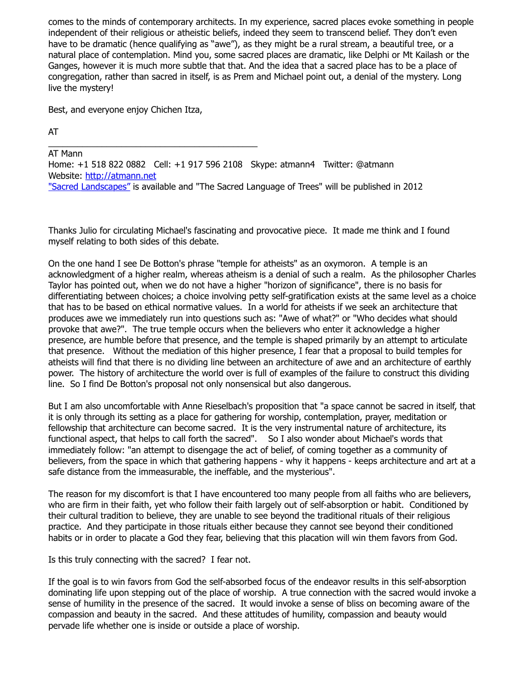comes to the minds of contemporary architects. In my experience, sacred places evoke something in people independent of their religious or atheistic beliefs, indeed they seem to transcend belief. They don't even have to be dramatic (hence qualifying as "awe"), as they might be a rural stream, a beautiful tree, or a natural place of contemplation. Mind you, some sacred places are dramatic, like Delphi or Mt Kailash or the Ganges, however it is much more subtle that that. And the idea that a sacred place has to be a place of congregation, rather than sacred in itself, is as Prem and Michael point out, a denial of the mystery. Long live the mystery!

Best, and everyone enjoy Chichen Itza,

AT

\_\_\_\_\_\_\_\_\_\_\_\_\_\_\_\_\_\_\_\_\_\_\_\_\_\_\_\_\_\_\_\_\_\_\_\_\_\_\_\_\_\_\_ AT Mann Home: +1 518 822 0882 Cell: +1 917 596 2108 Skype: atmann4 Twitter: @atmann Website: [http://atmann.net](http://atmann.net/) ["Sacred Landscapes"](http://www.amazon.com/dp/1402765207/ref=as_li_qf_sp_asin_til?tag=atmannsdomain&camp=14573&creative=327641&linkCode=as1&creativeASIN=1402765207&adid=1P7RDNRT5W95RQ3F3HQM&&ref-refURL=http://www.atmann.net/books.htm) is available and "The Sacred Language of Trees" will be published in 2012

Thanks Julio for circulating Michael's fascinating and provocative piece. It made me think and I found myself relating to both sides of this debate.

On the one hand I see De Botton's phrase "temple for atheists" as an oxymoron. A temple is an acknowledgment of a higher realm, whereas atheism is a denial of such a realm. As the philosopher Charles Taylor has pointed out, when we do not have a higher "horizon of significance", there is no basis for differentiating between choices; a choice involving petty self-gratification exists at the same level as a choice that has to be based on ethical normative values. In a world for atheists if we seek an architecture that produces awe we immediately run into questions such as: "Awe of what?" or "Who decides what should provoke that awe?". The true temple occurs when the believers who enter it acknowledge a higher presence, are humble before that presence, and the temple is shaped primarily by an attempt to articulate that presence. Without the mediation of this higher presence, I fear that a proposal to build temples for atheists will find that there is no dividing line between an architecture of awe and an architecture of earthly power. The history of architecture the world over is full of examples of the failure to construct this dividing line. So I find De Botton's proposal not only nonsensical but also dangerous.

But I am also uncomfortable with Anne Rieselbach's proposition that "a space cannot be sacred in itself, that it is only through its setting as a place for gathering for worship, contemplation, prayer, meditation or fellowship that architecture can become sacred. It is the very instrumental nature of architecture, its functional aspect, that helps to call forth the sacred". So I also wonder about Michael's words that immediately follow: "an attempt to disengage the act of belief, of coming together as a community of believers, from the space in which that gathering happens - why it happens - keeps architecture and art at a safe distance from the immeasurable, the ineffable, and the mysterious".

The reason for my discomfort is that I have encountered too many people from all faiths who are believers, who are firm in their faith, yet who follow their faith largely out of self-absorption or habit. Conditioned by their cultural tradition to believe, they are unable to see beyond the traditional rituals of their religious practice. And they participate in those rituals either because they cannot see beyond their conditioned habits or in order to placate a God they fear, believing that this placation will win them favors from God.

Is this truly connecting with the sacred? I fear not.

If the goal is to win favors from God the self-absorbed focus of the endeavor results in this self-absorption dominating life upon stepping out of the place of worship. A true connection with the sacred would invoke a sense of humility in the presence of the sacred. It would invoke a sense of bliss on becoming aware of the compassion and beauty in the sacred. And these attitudes of humility, compassion and beauty would pervade life whether one is inside or outside a place of worship.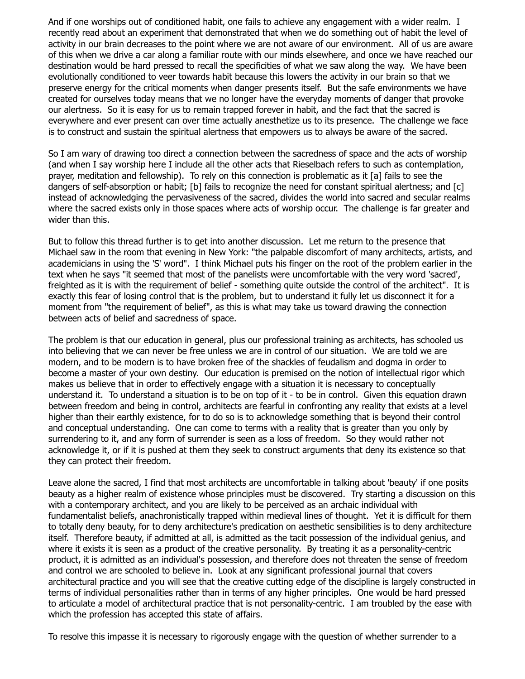And if one worships out of conditioned habit, one fails to achieve any engagement with a wider realm. I recently read about an experiment that demonstrated that when we do something out of habit the level of activity in our brain decreases to the point where we are not aware of our environment. All of us are aware of this when we drive a car along a familiar route with our minds elsewhere, and once we have reached our destination would be hard pressed to recall the specificities of what we saw along the way. We have been evolutionally conditioned to veer towards habit because this lowers the activity in our brain so that we preserve energy for the critical moments when danger presents itself. But the safe environments we have created for ourselves today means that we no longer have the everyday moments of danger that provoke our alertness. So it is easy for us to remain trapped forever in habit, and the fact that the sacred is everywhere and ever present can over time actually anesthetize us to its presence. The challenge we face is to construct and sustain the spiritual alertness that empowers us to always be aware of the sacred.

So I am wary of drawing too direct a connection between the sacredness of space and the acts of worship (and when I say worship here I include all the other acts that Rieselbach refers to such as contemplation, prayer, meditation and fellowship). To rely on this connection is problematic as it [a] fails to see the dangers of self-absorption or habit; [b] fails to recognize the need for constant spiritual alertness; and [c] instead of acknowledging the pervasiveness of the sacred, divides the world into sacred and secular realms where the sacred exists only in those spaces where acts of worship occur. The challenge is far greater and wider than this.

But to follow this thread further is to get into another discussion. Let me return to the presence that Michael saw in the room that evening in New York: "the palpable discomfort of many architects, artists, and academicians in using the 'S' word". I think Michael puts his finger on the root of the problem earlier in the text when he says "it seemed that most of the panelists were uncomfortable with the very word 'sacred', freighted as it is with the requirement of belief - something quite outside the control of the architect". It is exactly this fear of losing control that is the problem, but to understand it fully let us disconnect it for a moment from "the requirement of belief", as this is what may take us toward drawing the connection between acts of belief and sacredness of space.

The problem is that our education in general, plus our professional training as architects, has schooled us into believing that we can never be free unless we are in control of our situation. We are told we are modern, and to be modern is to have broken free of the shackles of feudalism and dogma in order to become a master of your own destiny. Our education is premised on the notion of intellectual rigor which makes us believe that in order to effectively engage with a situation it is necessary to conceptually understand it. To understand a situation is to be on top of it - to be in control. Given this equation drawn between freedom and being in control, architects are fearful in confronting any reality that exists at a level higher than their earthly existence, for to do so is to acknowledge something that is beyond their control and conceptual understanding. One can come to terms with a reality that is greater than you only by surrendering to it, and any form of surrender is seen as a loss of freedom. So they would rather not acknowledge it, or if it is pushed at them they seek to construct arguments that deny its existence so that they can protect their freedom.

Leave alone the sacred, I find that most architects are uncomfortable in talking about 'beauty' if one posits beauty as a higher realm of existence whose principles must be discovered. Try starting a discussion on this with a contemporary architect, and you are likely to be perceived as an archaic individual with fundamentalist beliefs, anachronistically trapped within medieval lines of thought. Yet it is difficult for them to totally deny beauty, for to deny architecture's predication on aesthetic sensibilities is to deny architecture itself. Therefore beauty, if admitted at all, is admitted as the tacit possession of the individual genius, and where it exists it is seen as a product of the creative personality. By treating it as a personality-centric product, it is admitted as an individual's possession, and therefore does not threaten the sense of freedom and control we are schooled to believe in. Look at any significant professional journal that covers architectural practice and you will see that the creative cutting edge of the discipline is largely constructed in terms of individual personalities rather than in terms of any higher principles. One would be hard pressed to articulate a model of architectural practice that is not personality-centric. I am troubled by the ease with which the profession has accepted this state of affairs.

To resolve this impasse it is necessary to rigorously engage with the question of whether surrender to a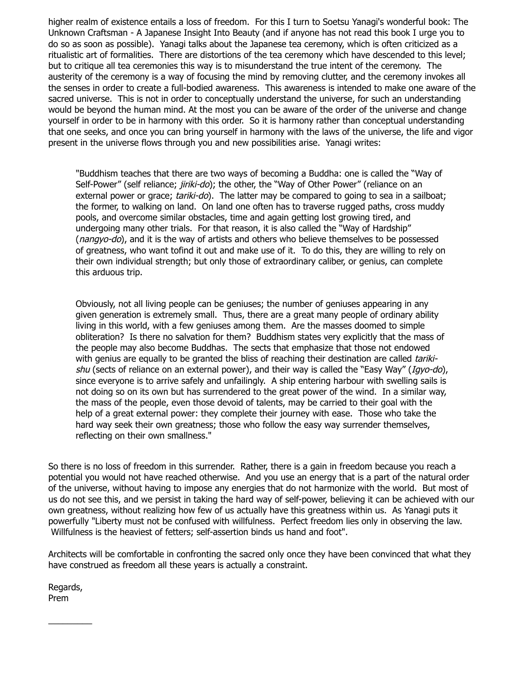higher realm of existence entails a loss of freedom. For this I turn to Soetsu Yanagi's wonderful book: The Unknown Craftsman - A Japanese Insight Into Beauty (and if anyone has not read this book I urge you to do so as soon as possible). Yanagi talks about the Japanese tea ceremony, which is often criticized as a ritualistic art of formalities. There are distortions of the tea ceremony which have descended to this level; but to critique all tea ceremonies this way is to misunderstand the true intent of the ceremony. The austerity of the ceremony is a way of focusing the mind by removing clutter, and the ceremony invokes all the senses in order to create a full-bodied awareness. This awareness is intended to make one aware of the sacred universe. This is not in order to conceptually understand the universe, for such an understanding would be beyond the human mind. At the most you can be aware of the order of the universe and change yourself in order to be in harmony with this order. So it is harmony rather than conceptual understanding that one seeks, and once you can bring yourself in harmony with the laws of the universe, the life and vigor present in the universe flows through you and new possibilities arise. Yanagi writes:

"Buddhism teaches that there are two ways of becoming a Buddha: one is called the "Way of Self-Power" (self reliance; *jiriki-do*); the other, the "Way of Other Power" (reliance on an external power or grace; tariki-do). The latter may be compared to going to sea in a sailboat; the former, to walking on land. On land one often has to traverse rugged paths, cross muddy pools, and overcome similar obstacles, time and again getting lost growing tired, and undergoing many other trials. For that reason, it is also called the "Way of Hardship" (*nangyo-do*), and it is the way of artists and others who believe themselves to be possessed of greatness, who want tofind it out and make use of it. To do this, they are willing to rely on their own individual strength; but only those of extraordinary caliber, or genius, can complete this arduous trip.

Obviously, not all living people can be geniuses; the number of geniuses appearing in any given generation is extremely small. Thus, there are a great many people of ordinary ability living in this world, with a few geniuses among them. Are the masses doomed to simple obliteration? Is there no salvation for them? Buddhism states very explicitly that the mass of the people may also become Buddhas. The sects that emphasize that those not endowed with genius are equally to be granted the bliss of reaching their destination are called tarikishu (sects of reliance on an external power), and their way is called the "Easy Way" (Igyo-do), since everyone is to arrive safely and unfailingly. A ship entering harbour with swelling sails is not doing so on its own but has surrendered to the great power of the wind. In a similar way, the mass of the people, even those devoid of talents, may be carried to their goal with the help of a great external power: they complete their journey with ease. Those who take the hard way seek their own greatness; those who follow the easy way surrender themselves, reflecting on their own smallness."

So there is no loss of freedom in this surrender. Rather, there is a gain in freedom because you reach a potential you would not have reached otherwise. And you use an energy that is a part of the natural order of the universe, without having to impose any energies that do not harmonize with the world. But most of us do not see this, and we persist in taking the hard way of self-power, believing it can be achieved with our own greatness, without realizing how few of us actually have this greatness within us. As Yanagi puts it powerfully "Liberty must not be confused with willfulness. Perfect freedom lies only in observing the law. Willfulness is the heaviest of fetters; self-assertion binds us hand and foot".

Architects will be comfortable in confronting the sacred only once they have been convinced that what they have construed as freedom all these years is actually a constraint.

Regards, Prem

 $\frac{1}{2}$